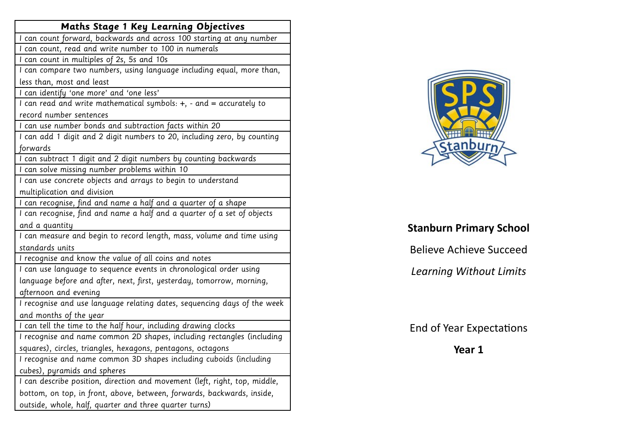| I can count forward, backwards and across 100 starting at any number<br>I can count, read and write number to 100 in numerals<br>I can count in multiples of 2s, 5s and 10s<br>I can compare two numbers, using language including equal, more than,<br>less than, most and least<br>I can identify 'one more' and 'one less'<br>I can read and write mathematical symbols: +, - and = accurately to<br>record number sentences<br>I can use number bonds and subtraction facts within 20 |
|-------------------------------------------------------------------------------------------------------------------------------------------------------------------------------------------------------------------------------------------------------------------------------------------------------------------------------------------------------------------------------------------------------------------------------------------------------------------------------------------|
|                                                                                                                                                                                                                                                                                                                                                                                                                                                                                           |
|                                                                                                                                                                                                                                                                                                                                                                                                                                                                                           |
|                                                                                                                                                                                                                                                                                                                                                                                                                                                                                           |
|                                                                                                                                                                                                                                                                                                                                                                                                                                                                                           |
|                                                                                                                                                                                                                                                                                                                                                                                                                                                                                           |
|                                                                                                                                                                                                                                                                                                                                                                                                                                                                                           |
|                                                                                                                                                                                                                                                                                                                                                                                                                                                                                           |
|                                                                                                                                                                                                                                                                                                                                                                                                                                                                                           |
|                                                                                                                                                                                                                                                                                                                                                                                                                                                                                           |
| I can add 1 digit and 2 digit numbers to 20, including zero, by counting                                                                                                                                                                                                                                                                                                                                                                                                                  |
| forwards                                                                                                                                                                                                                                                                                                                                                                                                                                                                                  |
| I can subtract 1 digit and 2 digit numbers by counting backwards                                                                                                                                                                                                                                                                                                                                                                                                                          |
| I can solve missing number problems within 10                                                                                                                                                                                                                                                                                                                                                                                                                                             |
| I can use concrete objects and arrays to begin to understand                                                                                                                                                                                                                                                                                                                                                                                                                              |
| multiplication and division                                                                                                                                                                                                                                                                                                                                                                                                                                                               |
| I can recognise, find and name a half and a quarter of a shape                                                                                                                                                                                                                                                                                                                                                                                                                            |
| I can recognise, find and name a half and a quarter of a set of objects                                                                                                                                                                                                                                                                                                                                                                                                                   |
| and a quantity                                                                                                                                                                                                                                                                                                                                                                                                                                                                            |
| I can measure and begin to record length, mass, volume and time using                                                                                                                                                                                                                                                                                                                                                                                                                     |
| standards units                                                                                                                                                                                                                                                                                                                                                                                                                                                                           |
| I recognise and know the value of all coins and notes                                                                                                                                                                                                                                                                                                                                                                                                                                     |
| I can use language to sequence events in chronological order using                                                                                                                                                                                                                                                                                                                                                                                                                        |
| language before and after, next, first, yesterday, tomorrow, morning,                                                                                                                                                                                                                                                                                                                                                                                                                     |
| afternoon and evening                                                                                                                                                                                                                                                                                                                                                                                                                                                                     |
| I recognise and use language relating dates, sequencing days of the week                                                                                                                                                                                                                                                                                                                                                                                                                  |
| and months of the year                                                                                                                                                                                                                                                                                                                                                                                                                                                                    |
| I can tell the time to the half hour, including drawing clocks                                                                                                                                                                                                                                                                                                                                                                                                                            |
| I recognise and name common 2D shapes, including rectangles (including                                                                                                                                                                                                                                                                                                                                                                                                                    |
| squares), circles, triangles, hexagons, pentagons, octagons                                                                                                                                                                                                                                                                                                                                                                                                                               |
| I recognise and name common 3D shapes including cuboids (including                                                                                                                                                                                                                                                                                                                                                                                                                        |
| cubes), pyramids and spheres                                                                                                                                                                                                                                                                                                                                                                                                                                                              |
| I can describe position, direction and movement (left, right, top, middle,                                                                                                                                                                                                                                                                                                                                                                                                                |
| bottom, on top, in front, above, between, forwards, backwards, inside,                                                                                                                                                                                                                                                                                                                                                                                                                    |
| outside, whole, half, quarter and three quarter turns)                                                                                                                                                                                                                                                                                                                                                                                                                                    |



## **Stanburn Primary School**

Believe Achieve Succeed

*Learning Without Limits* 

End of Year Expectations

**Year 1**